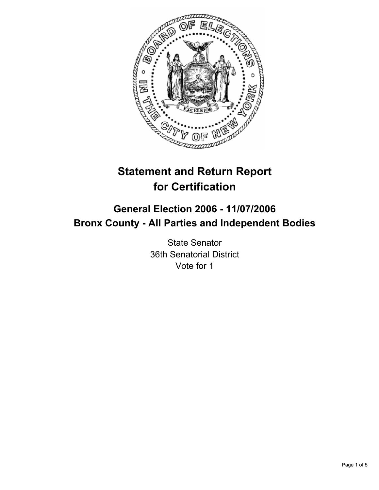

# **Statement and Return Report for Certification**

## **General Election 2006 - 11/07/2006 Bronx County - All Parties and Independent Bodies**

State Senator 36th Senatorial District Vote for 1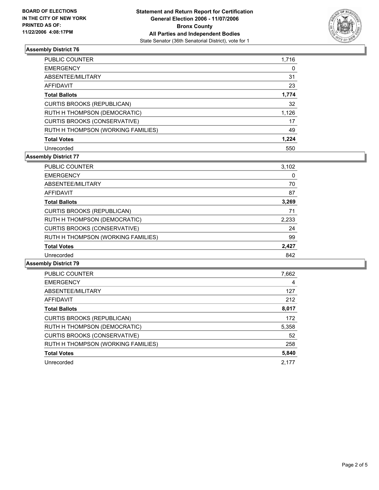

#### **Assembly District 76**

| <b>PUBLIC COUNTER</b>               | 1,716 |
|-------------------------------------|-------|
| <b>EMERGENCY</b>                    |       |
| ABSENTEE/MILITARY                   | 31    |
| <b>AFFIDAVIT</b>                    | 23    |
| <b>Total Ballots</b>                | 1,774 |
| <b>CURTIS BROOKS (REPUBLICAN)</b>   | 32    |
| RUTH H THOMPSON (DEMOCRATIC)        | 1,126 |
| <b>CURTIS BROOKS (CONSERVATIVE)</b> | 17    |
| RUTH H THOMPSON (WORKING FAMILIES)  | 49    |
| <b>Total Votes</b>                  | 1,224 |
| Unrecorded                          | 550   |

#### **Assembly District 77**

| PUBLIC COUNTER                      | 3,102 |
|-------------------------------------|-------|
| <b>EMERGENCY</b>                    | 0     |
| ABSENTEE/MILITARY                   | 70    |
| AFFIDAVIT                           | 87    |
| <b>Total Ballots</b>                | 3,269 |
| <b>CURTIS BROOKS (REPUBLICAN)</b>   | 71    |
| RUTH H THOMPSON (DEMOCRATIC)        | 2,233 |
| <b>CURTIS BROOKS (CONSERVATIVE)</b> | 24    |
| RUTH H THOMPSON (WORKING FAMILIES)  | 99    |
| <b>Total Votes</b>                  | 2,427 |
| Unrecorded                          | 842   |

#### **Assembly District 79**

| <b>PUBLIC COUNTER</b>               | 7,662 |
|-------------------------------------|-------|
| <b>EMERGENCY</b>                    | 4     |
| ABSENTEE/MILITARY                   | 127   |
| <b>AFFIDAVIT</b>                    | 212   |
| <b>Total Ballots</b>                | 8,017 |
| <b>CURTIS BROOKS (REPUBLICAN)</b>   | 172   |
| RUTH H THOMPSON (DEMOCRATIC)        | 5,358 |
| <b>CURTIS BROOKS (CONSERVATIVE)</b> | 52    |
| RUTH H THOMPSON (WORKING FAMILIES)  | 258   |
| <b>Total Votes</b>                  | 5,840 |
| Unrecorded                          | 2.177 |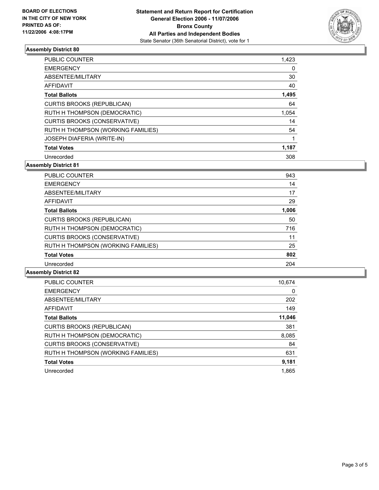

#### **Assembly District 80**

| <b>PUBLIC COUNTER</b>              | 1,423 |
|------------------------------------|-------|
| <b>EMERGENCY</b>                   |       |
| ABSENTEE/MILITARY                  | 30    |
| <b>AFFIDAVIT</b>                   | 40    |
| <b>Total Ballots</b>               | 1,495 |
| <b>CURTIS BROOKS (REPUBLICAN)</b>  | 64    |
| RUTH H THOMPSON (DEMOCRATIC)       | 1,054 |
| CURTIS BROOKS (CONSERVATIVE)       | 14    |
| RUTH H THOMPSON (WORKING FAMILIES) | 54    |
| <b>JOSEPH DIAFERIA (WRITE-IN)</b>  |       |
| <b>Total Votes</b>                 | 1,187 |
| Unrecorded                         | 308   |

**Assembly District 81**

| <b>PUBLIC COUNTER</b>               | 943   |  |
|-------------------------------------|-------|--|
| <b>EMERGENCY</b>                    | 14    |  |
| ABSENTEE/MILITARY                   | 17    |  |
| <b>AFFIDAVIT</b>                    | 29    |  |
| <b>Total Ballots</b>                | 1,006 |  |
| <b>CURTIS BROOKS (REPUBLICAN)</b>   | 50    |  |
| RUTH H THOMPSON (DEMOCRATIC)        | 716   |  |
| <b>CURTIS BROOKS (CONSERVATIVE)</b> | 11    |  |
| RUTH H THOMPSON (WORKING FAMILIES)  | 25    |  |
| <b>Total Votes</b>                  | 802   |  |
| Unrecorded                          | 204   |  |

#### **Assembly District 82**

| PUBLIC COUNTER                      | 10,674 |
|-------------------------------------|--------|
| <b>EMERGENCY</b>                    | 0      |
| ABSENTEE/MILITARY                   | 202    |
| AFFIDAVIT                           | 149    |
| <b>Total Ballots</b>                | 11,046 |
| <b>CURTIS BROOKS (REPUBLICAN)</b>   | 381    |
| RUTH H THOMPSON (DEMOCRATIC)        | 8,085  |
| <b>CURTIS BROOKS (CONSERVATIVE)</b> | 84     |
| RUTH H THOMPSON (WORKING FAMILIES)  | 631    |
| <b>Total Votes</b>                  | 9,181  |
| Unrecorded                          | 1.865  |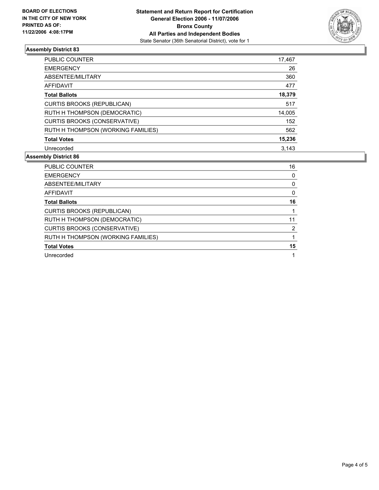

### **Assembly District 83**

| PUBLIC COUNTER                      | 17,467 |
|-------------------------------------|--------|
| <b>EMERGENCY</b>                    | 26     |
| ABSENTEE/MILITARY                   | 360    |
| <b>AFFIDAVIT</b>                    | 477    |
| <b>Total Ballots</b>                | 18,379 |
| <b>CURTIS BROOKS (REPUBLICAN)</b>   | 517    |
| RUTH H THOMPSON (DEMOCRATIC)        | 14,005 |
| <b>CURTIS BROOKS (CONSERVATIVE)</b> | 152    |
| RUTH H THOMPSON (WORKING FAMILIES)  | 562    |
| <b>Total Votes</b>                  | 15,236 |
| Unrecorded                          | 3.143  |

#### **Assembly District 86**

| <b>PUBLIC COUNTER</b>               | 16 |
|-------------------------------------|----|
| <b>EMERGENCY</b>                    |    |
| ABSENTEE/MILITARY                   |    |
| AFFIDAVIT                           |    |
| <b>Total Ballots</b>                | 16 |
| <b>CURTIS BROOKS (REPUBLICAN)</b>   |    |
| RUTH H THOMPSON (DEMOCRATIC)        |    |
| <b>CURTIS BROOKS (CONSERVATIVE)</b> | າ  |
| RUTH H THOMPSON (WORKING FAMILIES)  |    |
| <b>Total Votes</b>                  | 15 |
| Unrecorded                          |    |